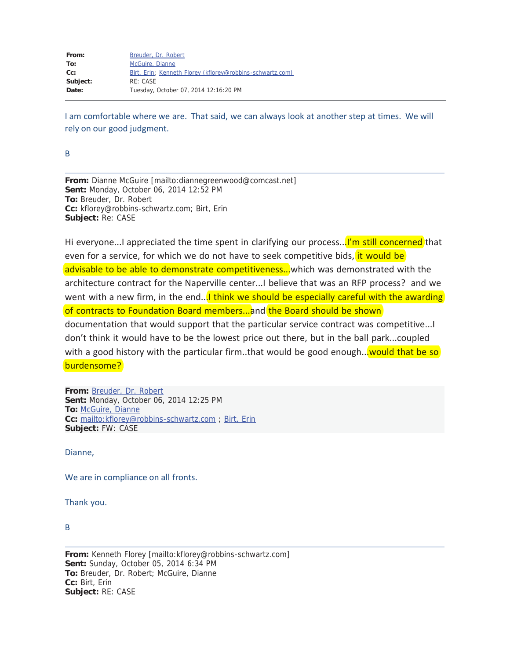| From:    | Breuder, Dr. Robert                                       |
|----------|-----------------------------------------------------------|
| To:      | McGuire, Dianne                                           |
| $Cc$ :   | Birt, Erin; Kenneth Florey (kflorey@robbins-schwartz.com) |
| Subject: | RE: CASE                                                  |
| Date:    | Tuesday, October 07, 2014 12:16:20 PM                     |
|          |                                                           |

I am comfortable where we are. That said, we can always look at another step at times. We will rely on our good judgment.

B

**From:** Dianne McGuire [mailto:diannegreenwood@comcast.net] **Sent:** Monday, October 06, 2014 12:52 PM **To:** Breuder, Dr. Robert **Cc:** kflorey@robbins-schwartz.com; Birt, Erin **Subject:** Re: CASE

Hi everyone...I appreciated the time spent in clarifying our process...<sup>I'm</sup> still concerned that even for a service, for which we do not have to seek competitive bids, it would be advisable to be able to demonstrate competitiveness... which was demonstrated with the architecture contract for the Naperville center...I believe that was an RFP process? and we went with a new firm, in the end...I think we should be especially careful with the awarding of contracts to Foundation Board members...and the Board should be shown documentation that would support that the particular service contract was competitive...I don't think it would have to be the lowest price out there, but in the ball park...coupled with a good history with the particular firm..that would be good enough...<mark>would that be so</mark> burdensome?

**From:** Breuder, Dr. Robert **Sent:** Monday, October 06, 2014 12:25 PM **To:** McGuire, Dianne **Cc:** mailto:kflorey@robbins-schwartz.com ; Birt, Erin **Subject:** FW: CASE

Dianne,

We are in compliance on all fronts.

Thank you.

B

**From:** Kenneth Florey [mailto:kflorey@robbins-schwartz.com] **Sent:** Sunday, October 05, 2014 6:34 PM **To:** Breuder, Dr. Robert; McGuire, Dianne **Cc:** Birt, Erin **Subject:** RE: CASE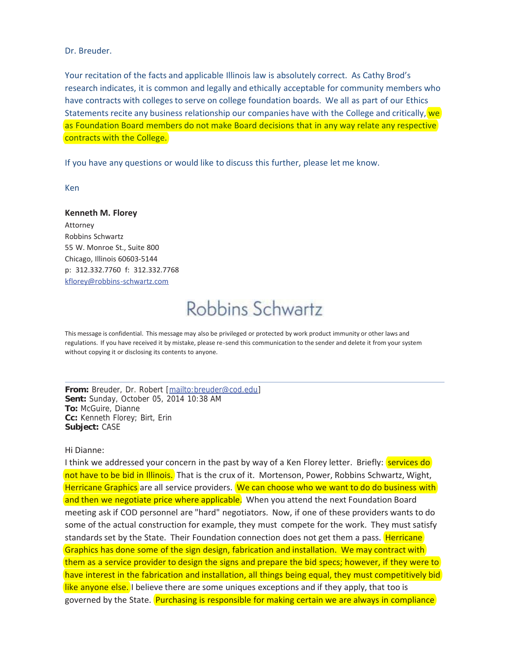#### Dr. Breuder.

Your recitation of the facts and applicable Illinois law is absolutely correct. As Cathy Brod's research indicates, it is common and legally and ethically acceptable for community members who have contracts with colleges to serve on college foundation boards. We all as part of our Ethics Statements recite any business relationship our companies have with the College and critically,  $we$ as Foundation Board members do not make Board decisions that in any way relate any respective contracts with the College.

If you have any questions or would like to discuss this further, please let me know.

Ken

**Kenneth M. Florey** Attorney Robbins Schwartz 55 W. Monroe St., Suite 800 Chicago, Illinois 60603-5144 p: 312.332.7760 f: 312.332.7768 kflorey@robbins-schwartz.com

# Robbins Schwartz

This message is confidential. This message may also be privileged or protected by work product immunity or other laws and regulations. If you have received it by mistake, please re-send this communication to the sender and delete it from your system without copying it or disclosing its contents to anyone.

**From:** Breuder, Dr. Robert [mailto:breuder@cod.edu] **Sent:** Sunday, October 05, 2014 10:38 AM **To:** McGuire, Dianne **Cc:** Kenneth Florey; Birt, Erin **Subject:** CASE

### Hi Dianne:

I think we addressed your concern in the past by way of a Ken Florey letter. Briefly: **services do** not have to be bid in Illinois. That is the crux of it. Mortenson, Power, Robbins Schwartz, Wight, Herricane Graphics are all service providers. We can choose who we want to do do business with and then we negotiate price where applicable. When you attend the next Foundation Board meeting ask if COD personnel are "hard" negotiators. Now, if one of these providers wants to do some of the actual construction for example, they must compete for the work. They must satisfy standards set by the State. Their Foundation connection does not get them a pass. Herricane Graphics has done some of the sign design, fabrication and installation. We may contract with them as a service provider to design the signs and prepare the bid specs; however, if they were to have interest in the fabrication and installation, all things being equal, they must competitively bid like anyone else. I believe there are some uniques exceptions and if they apply, that too is governed by the State. Purchasing is responsible for making certain we are always in compliance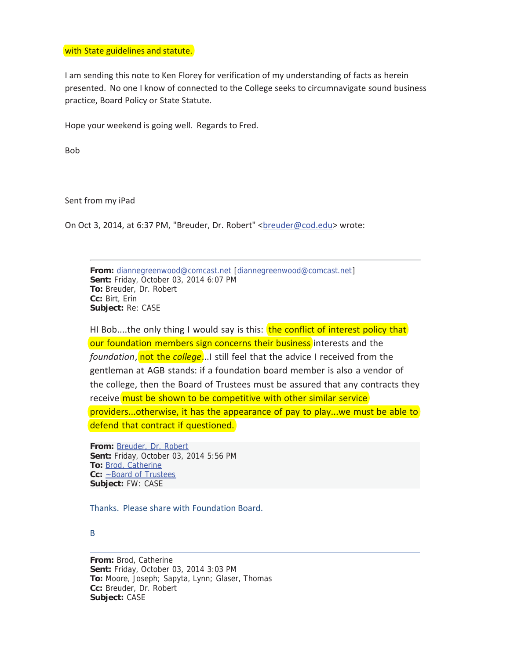#### with State guidelines and statute.

I am sending this note to Ken Florey for verification of my understanding of facts as herein presented. No one I know of connected to the College seeks to circumnavigate sound business practice, Board Policy or State Statute.

Hope your weekend is going well. Regards to Fred.

Bob

Sent from my iPad

On Oct 3, 2014, at 6:37 PM, "Breuder, Dr. Robert" <br/>breuder@cod.edu> wrote:

**From:** diannegreenwood@comcast.net [diannegreenwood@comcast.net] **Sent:** Friday, October 03, 2014 6:07 PM **To:** Breuder, Dr. Robert **Cc:** Birt, Erin **Subject:** Re: CASE

HI Bob....the only thing I would say is this: the conflict of interest policy that our foundation members sign concerns their business interests and the *foundation*, not the *college*...I still feel that the advice I received from the gentleman at AGB stands: if a foundation board member is also a vendor of the college, then the Board of Trustees must be assured that any contracts they receive must be shown to be competitive with other similar service providers...otherwise, it has the appearance of pay to play...we must be able to defend that contract if questioned.

**From:** Breuder, Dr. Robert **Sent:** Friday, October 03, 2014 5:56 PM **To:** Brod, Catherine **Cc:** ~Board of Trustees **Subject:** FW: CASE

Thanks. Please share with Foundation Board.

## B

**From:** Brod, Catherine **Sent:** Friday, October 03, 2014 3:03 PM **To:** Moore, Joseph; Sapyta, Lynn; Glaser, Thomas **Cc:** Breuder, Dr. Robert **Subject:** CASE